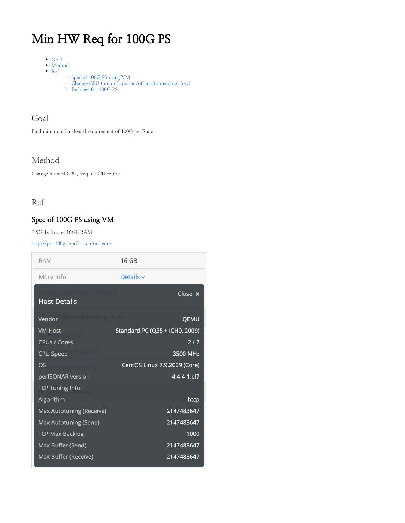# Min HW Req for 100G PS

- [Goal](#page-0-0)
- [Method](#page-0-1) • [Ref](#page-0-2)
	- [Spec of 100G PS using VM](#page-0-3)
		- [Change CPU \(num of cpu, on/off multithreading, freq\)](#page-0-4)
		- [Ref spec for 100G PS](#page-3-0)

### <span id="page-0-0"></span>Goal

Find minimum hardward requirement of 100G perfSonar

## <span id="page-0-1"></span>Method

Change num of CPU, freq of CPU → test

## <span id="page-0-2"></span>Ref

#### <span id="page-0-3"></span>Spec of 100G PS using VM

3.5GHz 2 core, 16GB RAM

<http://ps-100g-hpr01.stanford.edu/>

<span id="page-0-4"></span>

| <b>RAM</b>                                                | 16 GB                                             |
|-----------------------------------------------------------|---------------------------------------------------|
| More Info                                                 | Details $\sim$                                    |
| <b>Host Details</b>                                       | Close x                                           |
| Vendor                                                    | QEMU                                              |
| <b>VM Host</b><br><b>CPUs / Cores</b><br><b>CPU Speed</b> | Standard PC (Q35 + ICH9, 2009)<br>2/2<br>3500 MHz |
| OS<br>perfSONAR version<br><b>TCP Tuning Info:</b>        | CentOS Linux 7.9.2009 (Core)<br>4.4.4-1.el7       |
| Algorithm                                                 | htcp                                              |
| Max Autotuning (Receive)                                  | 2147483647                                        |
| Max Autotuning (Send)<br><b>TCP Max Backlog</b>           | 2147483647<br>1000                                |
| Max Buffer (Send)<br>Max Buffer (Receive)                 | 2147483647<br>2147483647                          |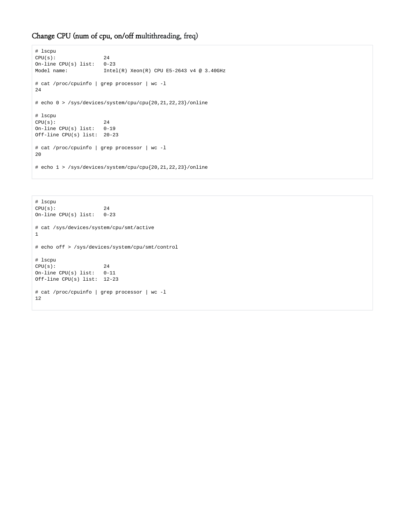#### Change CPU (num of cpu, on/off multithreading, freq)

```
# lscpu
CPU(s): 24
On-line CPU(s) list: 0-23
Model name: Intel(R) Xeon(R) CPU E5-2643 v4 @ 3.40GHz
# cat /proc/cpuinfo | grep processor | wc -l
24
# echo 0 > /sys/devices/system/cpu/cpu{20,21,22,23}/online
# lscpu
CPU(s): 24
On-line CPU(s) list: 0-19
Off-line CPU(s) list: 20-23
# cat /proc/cpuinfo | grep processor | wc -l
20
# echo 1 > /sys/devices/system/cpu/cpu{20,21,22,23}/online
```

```
# lscpu
CPU(s): 24
On-line CPU(s) list: 0-23
# cat /sys/devices/system/cpu/smt/active
1
# echo off > /sys/devices/system/cpu/smt/control
# lscpu
CPU(s): 24
On-line CPU(s) list: 0-11
Off-line CPU(s) list: 12-23
# cat /proc/cpuinfo | grep processor | wc -l
12
```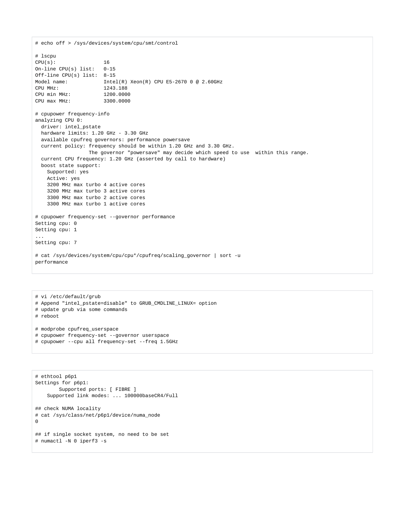```
# echo off > /sys/devices/system/cpu/smt/control
# lscpu
CPU(s): 16
On-line CPU(s) list: 0-15
Off-line CPU(s) list: 8-15
Model name: Intel(R) Xeon(R) CPU E5-2670 0 @ 2.60GHz
CPU MHz: 1243.188
CPU min MHz: 1200.0000
CPU max MHz: 3300.0000
# cpupower frequency-info
analyzing CPU 0:
  driver: intel_pstate
  hardware limits: 1.20 GHz - 3.30 GHz
  available cpufreq governors: performance powersave
  current policy: frequency should be within 1.20 GHz and 3.30 GHz.
                 The governor "powersave" may decide which speed to use within this range.
  current CPU frequency: 1.20 GHz (asserted by call to hardware)
  boost state support:
    Supported: yes
    Active: yes
    3200 MHz max turbo 4 active cores
    3200 MHz max turbo 3 active cores
    3300 MHz max turbo 2 active cores
    3300 MHz max turbo 1 active cores
# cpupower frequency-set --governor performance
Setting cpu: 0
Setting cpu: 1
...
Setting cpu: 7
# cat /sys/devices/system/cpu/cpu*/cpufreq/scaling_governor | sort -u
performance
```

```
# vi /etc/default/grub
# Append "intel_pstate=disable" to GRUB_CMDLINE_LINUX= option
# update grub via some commands
# reboot
# modprobe cpufreq_userspace
# cpupower frequency-set --governor userspace
# cpupower --cpu all frequency-set --freq 1.5GHz
```

```
# ethtool p6p1
Settings for p6p1:
        Supported ports: [ FIBRE ]
     Supported link modes: ... 100000baseCR4/Full
## check NUMA locality
# cat /sys/class/net/p6p1/device/numa_node
\mathbf 0## if single socket system, no need to be set
# numactl -N 0 iperf3 -s
```